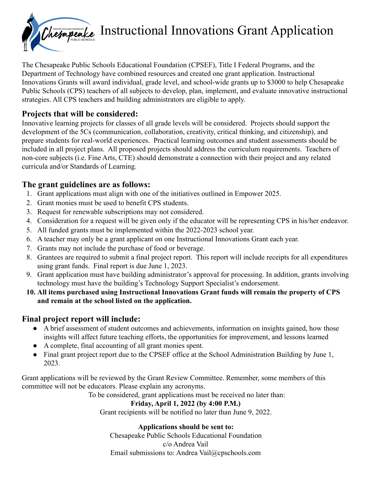

# Chetapeake Instructional Innovations Grant Application

The Chesapeake Public Schools Educational Foundation (CPSEF), Title I Federal Programs, and the Department of Technology have combined resources and created one grant application. Instructional Innovations Grants will award individual, grade level, and school-wide grants up to \$3000 to help Chesapeake Public Schools (CPS) teachers of all subjects to develop, plan, implement, and evaluate innovative instructional strategies. All CPS teachers and building administrators are eligible to apply.

### **Projects that will be considered:**

Innovative learning projects for classes of all grade levels will be considered. Projects should support the development of the 5Cs (communication, collaboration, creativity, critical thinking, and citizenship), and prepare students for real-world experiences. Practical learning outcomes and student assessments should be included in all project plans. All proposed projects should address the curriculum requirements. Teachers of non-core subjects (i.e. Fine Arts, CTE) should demonstrate a connection with their project and any related curricula and/or Standards of Learning.

### **The grant guidelines are as follows:**

- 1. Grant applications must align with one of the initiatives outlined in Empower 2025.
- 2. Grant monies must be used to benefit CPS students.
- 3. Request for renewable subscriptions may not considered.
- 4. Consideration for a request will be given only if the educator will be representing CPS in his/her endeavor.
- 5. All funded grants must be implemented within the 2022-2023 school year.
- 6. A teacher may only be a grant applicant on one Instructional Innovations Grant each year.
- 7. Grants may not include the purchase of food or beverage.
- 8. Grantees are required to submit a final project report. This report will include receipts for all expenditures using grant funds. Final report is due June 1, 2023.
- 9. Grant application must have building administrator's approval for processing. In addition, grants involving technology must have the building's Technology Support Specialist's endorsement.
- **10. All items purchased using Instructional Innovations Grant funds will remain the property of CPS and remain at the school listed on the application.**

### **Final project report will include:**

- A brief assessment of student outcomes and achievements, information on insights gained, how those insights will affect future teaching efforts, the opportunities for improvement, and lessons learned
- A complete, final accounting of all grant monies spent.
- Final grant project report due to the CPSEF office at the School Administration Building by June 1, 2023.

Grant applications will be reviewed by the Grant Review Committee. Remember, some members of this committee will not be educators. Please explain any acronyms.

To be considered, grant applications must be received no later than:

#### **Friday, April 1, 2022 (by 4:00 P.M.)**

Grant recipients will be notified no later than June 9, 2022.

#### **Applications should be sent to:**

Chesapeake Public Schools Educational Foundation c/o Andrea Vail Email submissions to: Andrea Vail@cpschools.com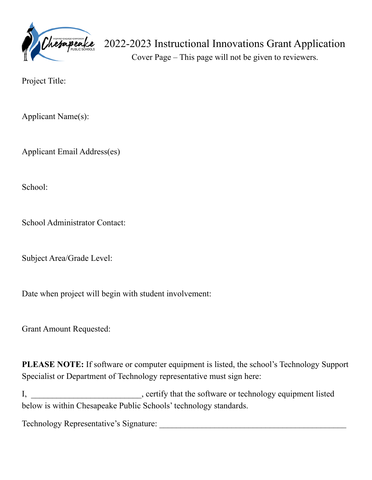

## 2022-2023 Instructional Innovations Grant Application

Cover Page – This page will not be given to reviewers.

Project Title:

Applicant Name(s):

Applicant Email Address(es)

School:

School Administrator Contact:

Subject Area/Grade Level:

Date when project will begin with student involvement:

Grant Amount Requested:

**PLEASE NOTE:** If software or computer equipment is listed, the school's Technology Support Specialist or Department of Technology representative must sign here:

I, certify that the software or technology equipment listed below is within Chesapeake Public Schools' technology standards.

Technology Representative's Signature: \_\_\_\_\_\_\_\_\_\_\_\_\_\_\_\_\_\_\_\_\_\_\_\_\_\_\_\_\_\_\_\_\_\_\_\_\_\_\_\_\_\_\_\_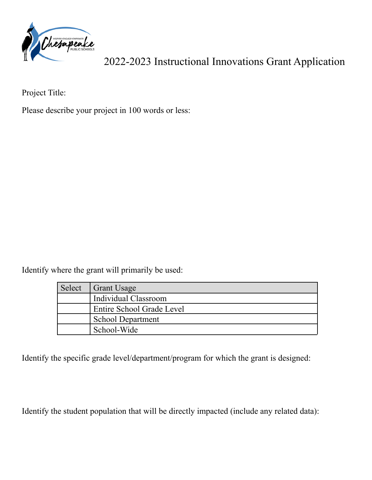

2022-2023 Instructional Innovations Grant Application

Project Title:

Please describe your project in 100 words or less:

Identify where the grant will primarily be used:

| Select | Grant Usage                      |
|--------|----------------------------------|
|        | <b>Individual Classroom</b>      |
|        | <b>Entire School Grade Level</b> |
|        | <b>School Department</b>         |
|        | School-Wide                      |

Identify the specific grade level/department/program for which the grant is designed:

Identify the student population that will be directly impacted (include any related data):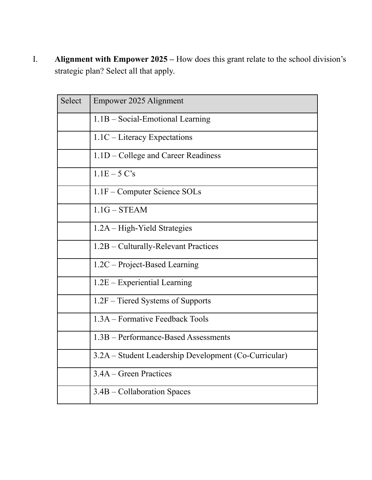I. **Alignment with Empower 2025 –** How does this grant relate to the school division's strategic plan? Select all that apply.

| Select | Empower 2025 Alignment                                |
|--------|-------------------------------------------------------|
|        | 1.1B - Social-Emotional Learning                      |
|        | $1.1C$ – Literacy Expectations                        |
|        | 1.1D – College and Career Readiness                   |
|        | $1.1E - 5C's$                                         |
|        | 1.1F – Computer Science SOLs                          |
|        | $1.1G - STEAM$                                        |
|        | 1.2A – High-Yield Strategies                          |
|        | 1.2B – Culturally-Relevant Practices                  |
|        | 1.2C – Project-Based Learning                         |
|        | $1.2E$ – Experiential Learning                        |
|        | 1.2F – Tiered Systems of Supports                     |
|        | 1.3A – Formative Feedback Tools                       |
|        | 1.3B – Performance-Based Assessments                  |
|        | 3.2A – Student Leadership Development (Co-Curricular) |
|        | 3.4A – Green Practices                                |
|        | 3.4B – Collaboration Spaces                           |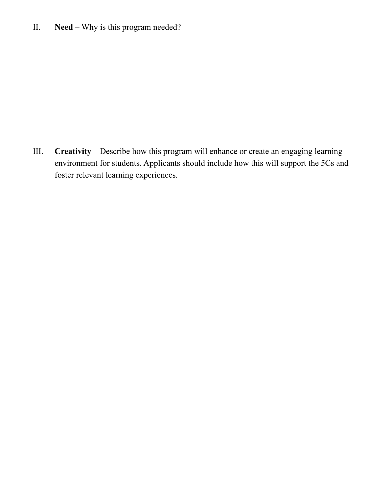II. **Need** – Why is this program needed?

III. **Creativity –** Describe how this program will enhance or create an engaging learning environment for students. Applicants should include how this will support the 5Cs and foster relevant learning experiences.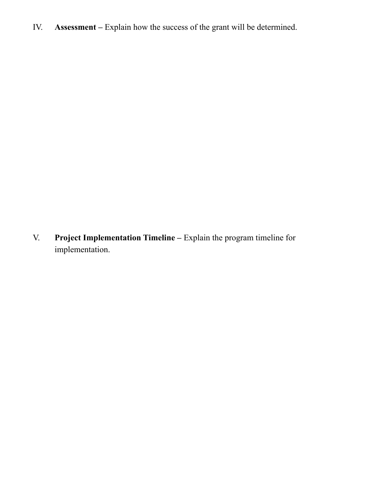IV. **Assessment –** Explain how the success of the grant will be determined.

V. **Project Implementation Timeline –** Explain the program timeline for implementation.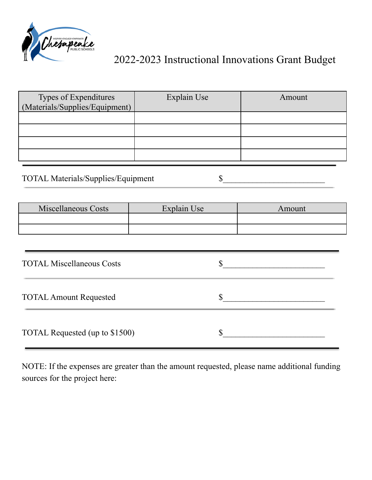

### 2022-2023 Instructional Innovations Grant Budget

| Types of Expenditures<br>(Materials/Supplies/Equipment) | Explain Use | Amount |
|---------------------------------------------------------|-------------|--------|
|                                                         |             |        |
|                                                         |             |        |
|                                                         |             |        |
|                                                         |             |        |

# TOTAL Materials/Supplies/Equipment \$

| <b>Miscellaneous Costs</b> | Explain Use | Amount |
|----------------------------|-------------|--------|
|                            |             |        |
|                            |             |        |

| <b>TOTAL Miscellaneous Costs</b> |  |
|----------------------------------|--|
| <b>TOTAL Amount Requested</b>    |  |
| TOTAL Requested (up to \$1500)   |  |

NOTE: If the expenses are greater than the amount requested, please name additional funding sources for the project here: